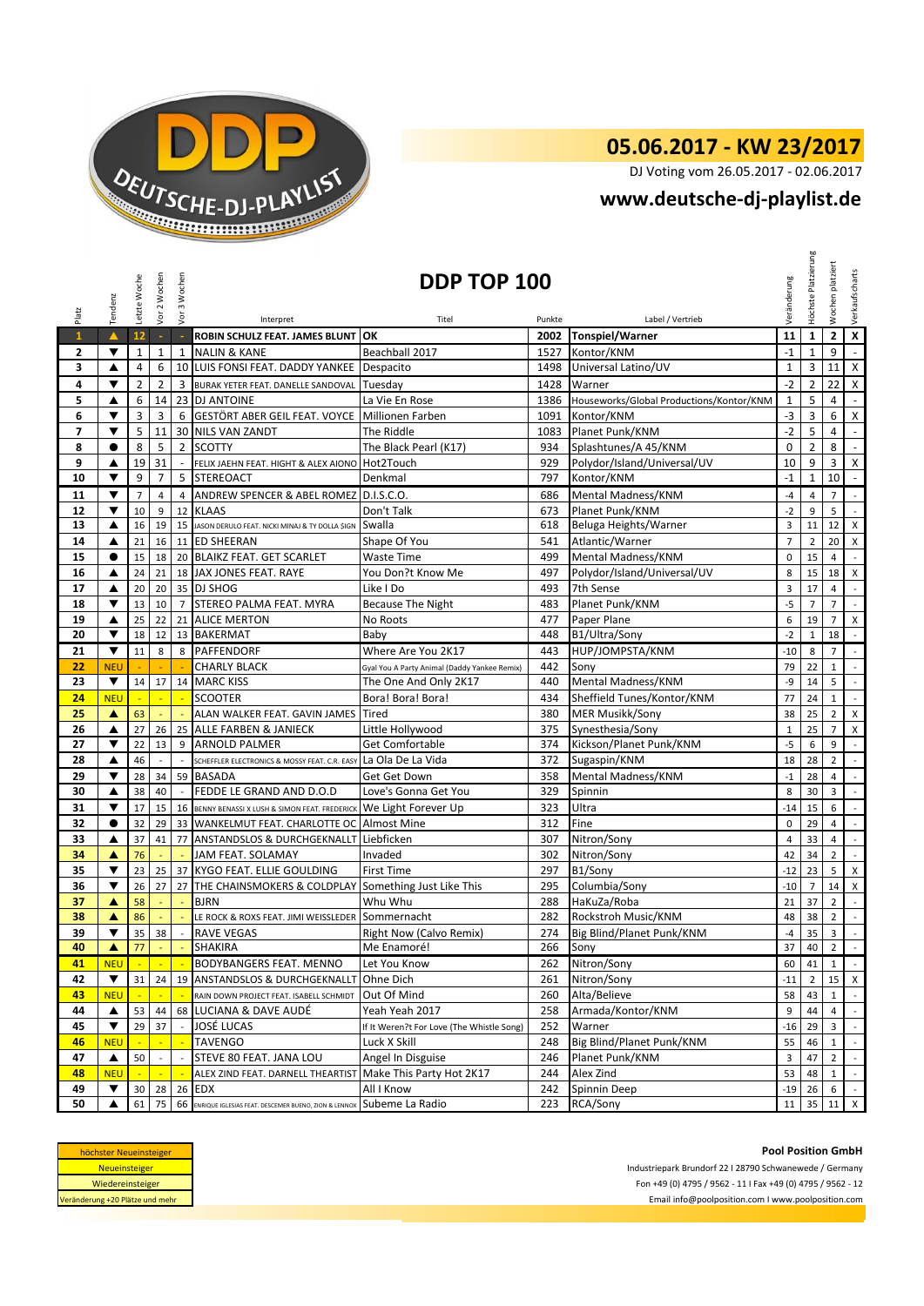

## **05.06.2017 - KW 23/2017**

DJ Voting vom 26.05.2017 - 02.06.2017

## **[w](http://www.deutsche-dj-playlist.de/)ww.deutsche-dj-playlist.de**

| Platz        | Tendenz                                                                                                                         | Letzte Woche   | Vor 2 Wochen             | Vor 3 Wochen                | DDP TOP 100<br>Veränderung<br>Label / Vertrieb<br>Interpret<br>Titel<br>Punkte |                                                                       |            |                                             |                      | Höchste Platzierung | platziert<br>Wochen | Verkaufscharts                     |
|--------------|---------------------------------------------------------------------------------------------------------------------------------|----------------|--------------------------|-----------------------------|--------------------------------------------------------------------------------|-----------------------------------------------------------------------|------------|---------------------------------------------|----------------------|---------------------|---------------------|------------------------------------|
| $\mathbf{1}$ | $\blacktriangle$                                                                                                                | 12             | $\sim$                   | $\sim$                      | ROBIN SCHULZ FEAT. JAMES BLUNT OK                                              |                                                                       |            | 2002 Tonspiel/Warner                        | 11                   | $\mathbf{1}$        | $\mathbf{2}$        | $\mathbf x$                        |
| 2            | ▼                                                                                                                               | $\mathbf 1$    | $\mathbf 1$              | $\mathbf{1}$                | <b>NALIN &amp; KANE</b>                                                        | Beachball 2017                                                        | 1527       | Kontor/KNM                                  | $^{\circ}1$          | $\mathbf{1}$        | 9                   | $\mathcal{L}$                      |
| 3            | ▲                                                                                                                               | 4              | 6                        | 10                          | LUIS FONSI FEAT. DADDY YANKEE Despacito                                        |                                                                       | 1498       | Universal Latino/UV                         | $\mathbf 1$          | 3                   | 11                  | $\mathsf{X}$                       |
| 4            | ▼                                                                                                                               | $\overline{2}$ | $\overline{2}$           | 3                           | BURAK YETER FEAT. DANELLE SANDOVAL Tuesday                                     |                                                                       | 1428       | Warner                                      | $-2$                 | $\overline{2}$      | 22                  | $\mathsf{X}$                       |
| 5            | ▲                                                                                                                               | 6              | 14                       |                             | 23 DJ ANTOINE                                                                  | La Vie En Rose                                                        | 1386       | Houseworks/Global Productions/Kontor/KNM    | $\mathbf{1}$         | 5                   | 4                   | $\blacksquare$                     |
| 6            | ▼                                                                                                                               | 3              | 3                        |                             | 6 GESTÖRT ABER GEIL FEAT. VOYCE Millionen Farben                               |                                                                       | 1091       | Kontor/KNM                                  | $-3$                 | 3                   | 6                   | $\mathsf{X}$                       |
| 7            | ▼                                                                                                                               | 5              | 11                       |                             | <b>30 NILS VAN ZANDT</b>                                                       | The Riddle                                                            | 1083       | Planet Punk/KNM                             | $-2$                 | 5                   | 4                   | $\sim$                             |
| 8            | $\bullet$                                                                                                                       | 8              | 5                        |                             | 2 SCOTTY                                                                       | The Black Pearl (K17)                                                 | 934        | Splashtunes/A 45/KNM                        | $\mathbf 0$          | $\overline{2}$      | 8                   | $\blacksquare$                     |
| 9            | ▲                                                                                                                               | 19             | 31                       | $\omega$                    | FELIX JAEHN FEAT. HIGHT & ALEX AIONO Hot2Touch                                 |                                                                       | 929        | Polydor/Island/Universal/UV                 | 10                   | 9                   | 3                   | $\mathsf{X}$                       |
| 10           | ▼                                                                                                                               | 9              | $\overline{7}$           | 5                           | <b>STEREOACT</b>                                                               | Denkmal                                                               | 797        | Kontor/KNM                                  | $-1$                 | $\mathbf{1}$        | 10                  | $\blacksquare$                     |
| 11           | ▼                                                                                                                               | $\overline{7}$ | $\overline{4}$           | $\overline{4}$              | ANDREW SPENCER & ABEL ROMEZ D.I.S.C.O.                                         |                                                                       | 686        | Mental Madness/KNM                          | $-4$                 | $\overline{4}$      | $\overline{7}$      | $\mathbb{Z}^2$                     |
| 12           | ▼                                                                                                                               | 10             | 9                        | 12                          | <b>KLAAS</b>                                                                   | Don't Talk                                                            | 673        | Planet Punk/KNM                             | $-2$                 | 9                   | 5                   | $\mathcal{L}^{\mathcal{A}}$        |
| 13           | ▲                                                                                                                               | 16             | 19                       | 15                          | JASON DERULO FEAT. NICKI MINAJ & TY DOLLA \$IGN                                | Swalla                                                                | 618        | Beluga Heights/Warner                       | 3                    | 11                  | 12                  | X                                  |
| 14           | ▲                                                                                                                               | 21             | 16                       |                             | 11 ED SHEERAN                                                                  | Shape Of You                                                          | 541        | Atlantic/Warner                             | $\overline{7}$       | $\overline{2}$      | 20                  | $\mathsf{X}$                       |
| 15           | $\bullet$                                                                                                                       | 15             | 18                       |                             | 20 BLAIKZ FEAT. GET SCARLET                                                    | <b>Waste Time</b>                                                     | 499        | Mental Madness/KNM                          | $\pmb{0}$            | 15                  | $\overline{4}$      | $\mathcal{L}$                      |
| 16           | ▲                                                                                                                               | 24             | 21                       |                             | 18 JAX JONES FEAT. RAYE                                                        | You Don?t Know Me                                                     | 497        | Polydor/Island/Universal/UV                 | 8                    | 15                  | 18                  | X                                  |
| 17           | ▲                                                                                                                               | 20             | 20                       |                             | 35 DJ SHOG                                                                     | Like I Do                                                             | 493        | 7th Sense                                   | 3                    | 17                  | $\overline{4}$      | $\overline{\phantom{a}}$           |
| 18           | ▼                                                                                                                               | 13             | 10                       |                             | 7 STEREO PALMA FEAT. MYRA                                                      | <b>Because The Night</b>                                              | 483        | Planet Punk/KNM                             | $-5$                 | $\overline{7}$      | $\overline{7}$      | $\mathbb{Z}^2$                     |
| 19           | ▲                                                                                                                               | 25             | 22                       | 21                          | <b>ALICE MERTON</b>                                                            | No Roots                                                              | 477        | Paper Plane                                 | 6                    | 19                  | $\overline{7}$      | X                                  |
| 20           | ▼                                                                                                                               | 18             | 12                       |                             | 13 BAKERMAT                                                                    | Baby                                                                  | 448        | B1/Ultra/Sony                               | $-2$                 | $\mathbf{1}$        | 18                  | $\mathbb{Z}^2$                     |
| 21           | $\blacktriangledown$                                                                                                            | 11             | 8                        |                             | 8 PAFFENDORF                                                                   | Where Are You 2K17                                                    | 443        | HUP/JOMPSTA/KNM                             | $-10$                | 8                   | $\overline{7}$      | $\mathbb{R}^2$                     |
| 22           | <b>NEU</b>                                                                                                                      |                |                          |                             | <b>CHARLY BLACK</b>                                                            |                                                                       | 442        | Sony                                        | 79                   | 22                  | $\mathbf{1}$        | $\mathbb{Z}^{\mathbb{Z}}$          |
| 23           | ▼                                                                                                                               | 14             | 17                       |                             | 14 MARC KISS                                                                   | Gyal You A Party Animal (Daddy Yankee Remix)<br>The One And Only 2K17 | 440        | Mental Madness/KNM                          | -9                   | 14                  | 5                   | $\mathbb{Z}^2$                     |
|              |                                                                                                                                 |                |                          |                             |                                                                                |                                                                       |            |                                             |                      |                     |                     |                                    |
| 24           | <b>NEU</b>                                                                                                                      |                |                          |                             | <b>SCOOTER</b>                                                                 | Bora! Bora! Bora!                                                     | 434        | Sheffield Tunes/Kontor/KNM                  | 77                   | 24                  | $\mathbf{1}$        | $\blacksquare$                     |
| 25           | $\blacktriangle$                                                                                                                | 63             | ÷                        |                             | ALAN WALKER FEAT. GAVIN JAMES                                                  | <b>Tired</b>                                                          | 380        | <b>MER Musikk/Sony</b>                      | 38                   | 25                  | $\overline{2}$      | X                                  |
| 26<br>27     | ▲<br>▼                                                                                                                          | 27<br>22       | 26<br>13                 | 9                           | 25 ALLE FARBEN & JANIECK<br><b>ARNOLD PALMER</b>                               | Little Hollywood<br><b>Get Comfortable</b>                            | 375<br>374 | Synesthesia/Sony<br>Kickson/Planet Punk/KNM | $\mathbf{1}$<br>$-5$ | 25<br>6             | $\overline{7}$<br>9 | X<br>$\mathbb{Z}^2$                |
| 28           | ▲                                                                                                                               | 46             | $\overline{\phantom{a}}$ | $\mathcal{L}_{\mathcal{A}}$ | SCHEFFLER ELECTRONICS & MOSSY FEAT. C.R. EASY La Ola De La Vida                |                                                                       | 372        | Sugaspin/KNM                                | 18                   | 28                  | $\overline{2}$      | $\mathbb{L}$                       |
|              |                                                                                                                                 |                |                          |                             |                                                                                |                                                                       |            |                                             |                      |                     |                     |                                    |
| 29<br>30     | ▼<br>▲                                                                                                                          | 28<br>38       | 34<br>40                 | $\overline{\phantom{a}}$    | 59 BASADA<br>FEDDE LE GRAND AND D.O.D                                          | Get Get Down<br>Love's Gonna Get You                                  | 358<br>329 | Mental Madness/KNM<br>Spinnin               | $-1$<br>8            | 28<br>30            | $\overline{4}$<br>3 | $\sim$<br>$\overline{\phantom{a}}$ |
|              |                                                                                                                                 |                |                          |                             |                                                                                |                                                                       |            |                                             |                      |                     |                     | $\mathbb{Z}^{\mathbb{Z}}$          |
| 31           | ▼                                                                                                                               | 17             | 15                       |                             | 16 BENNY BENASSI X LUSH & SIMON FEAT. FREDERICK We Light Forever Up            |                                                                       | 323        | Ultra                                       | $-14$                | 15                  | 6                   |                                    |
| 32           | $\bullet$                                                                                                                       | 32             | 29                       | 33                          | WANKELMUT FEAT. CHARLOTTE OC Almost Mine                                       |                                                                       | 312        | Fine                                        | $\mathbf 0$          | 29                  | $\overline{4}$      | $\mathbb{Z}^+$                     |
| 33           | ▲                                                                                                                               | 37             | 41                       | 77                          | ANSTANDSLOS & DURCHGEKNALLT Liebficken                                         |                                                                       | 307        | Nitron/Sony                                 | $\overline{4}$       | 33                  | $\overline{4}$      | $\mathcal{L}$<br>$\mathbb{Z}^2$    |
| 34           | ▲                                                                                                                               | 76             |                          |                             | JAM FEAT. SOLAMAY                                                              | Invaded                                                               | 302        | Nitron/Sony                                 | 42                   | 34                  | $\overline{2}$      |                                    |
| 35           | ▼                                                                                                                               | 23             | 25                       | 37                          | <b>KYGO FEAT. ELLIE GOULDING</b>                                               | <b>First Time</b>                                                     | 297        | B1/Sony                                     | $-12$                | 23                  | 5                   | X                                  |
| 36           | ▼                                                                                                                               | 26             | 27                       | 27                          | THE CHAINSMOKERS & COLDPLAY Something Just Like This                           |                                                                       | 295        | Columbia/Sony                               | $-10$                | $\overline{7}$      | 14                  | $\boldsymbol{\mathsf{X}}$          |
| 37           | ▲                                                                                                                               | 58             |                          | ÷                           | <b>BJRN</b>                                                                    | Whu Whu                                                               | 288        | HaKuZa/Roba                                 | 21                   | 37                  | $\overline{2}$      | $\mathcal{L}$                      |
| 38           | ▲                                                                                                                               | 86             |                          |                             | LE ROCK & ROXS FEAT. JIMI WEISSLEDER Sommernacht                               |                                                                       | 282        | Rockstroh Music/KNM                         | 48                   | 38                  | $\overline{2}$      | $\mathbb{Z}^{\mathbb{Z}}$          |
| 39           | $\blacktriangledown$                                                                                                            | 35<br>77       | 38                       | $\sim$                      | <b>RAVE VEGAS</b>                                                              | <b>Right Now (Calvo Remix)</b><br>Me Enamoré!                         | 274        | Big Blind/Planet Punk/KNM                   | $-4$<br>37           | 35<br>$40\quad2$    | 3                   | $\mathbb{L}$                       |
| 40           |                                                                                                                                 |                |                          | <b>Section</b>              | SHAKIRA                                                                        |                                                                       |            | 266 Sony                                    |                      |                     |                     |                                    |
| 41           | <b>NEU</b>                                                                                                                      | $\mathbb{Z}^2$ | $\mathbb{Z}$             |                             | BODYBANGERS FEAT. MENNO                                                        | Let You Know                                                          | 262        | Nitron/Sony                                 | 60                   | 41                  | $\mathbf{1}$        | $\sim$                             |
| 42           | ▼                                                                                                                               | 31             | 24                       |                             | 19 ANSTANDSLOS & DURCHGEKNALLT Ohne Dich                                       |                                                                       | 261        | Nitron/Sony                                 | $-11$                | $\overline{2}$      |                     | $15$ X                             |
| 43           | <b>NEU</b>                                                                                                                      |                |                          |                             | RAIN DOWN PROJECT FEAT. ISABELL SCHMIDT                                        | Out Of Mind                                                           | 260        | Alta/Believe                                | 58                   | 43                  | $\mathbf{1}$        |                                    |
| 44           | ▲                                                                                                                               | 53             | 44                       | 68                          | LUCIANA & DAVE AUDÉ                                                            | Yeah Yeah 2017                                                        | 258        | Armada/Kontor/KNM                           | 9                    | 44                  | $\overline{4}$      | $\sim$                             |
| 45           | ▼                                                                                                                               | 29             | 37                       | $\overline{\phantom{a}}$    | JOSÉ LUCAS                                                                     | If It Weren?t For Love (The Whistle Song)                             | 252        | Warner                                      | $-16$                | 29                  | $\overline{3}$      | $\sim$                             |
| 46           | <b>NEU</b>                                                                                                                      |                |                          |                             | TAVENGO                                                                        | Luck X Skill                                                          | 248        | Big Blind/Planet Punk/KNM                   | 55                   | 46                  | $\mathbf{1}$        | $\sim$                             |
| 47           | ▲                                                                                                                               | 50             | $\overline{\phantom{a}}$ | $\overline{\phantom{a}}$    | STEVE 80 FEAT. JANA LOU                                                        | Angel In Disguise                                                     | 246        | Planet Punk/KNM                             | 3                    | 47                  | $\overline{2}$      | $\mathbb{Z}^{\mathbb{Z}}$          |
| 48           | <b>NEU</b>                                                                                                                      |                |                          | $\mathcal{L}_{\mathbf{m}}$  | ALEX ZIND FEAT. DARNELL THEARTIST Make This Party Hot 2K17                     |                                                                       | 244        | Alex Zind                                   | 53                   | 48                  | $\mathbf{1}$        | $\sim$                             |
| 49           | ▼                                                                                                                               | 30             | 28                       | 26                          | <b>EDX</b>                                                                     | All I Know                                                            | 242        | Spinnin Deep                                | $-19$                | 26                  | 6                   | $\mathbb{Z}^+$                     |
| 50           | ▲                                                                                                                               | 61             | 75                       |                             | 66 ENRIQUE IGLESIAS FEAT. DESCEMER BUENO, ZION & LENNOX                        | Subeme La Radio                                                       | 223        | RCA/Sony                                    | 11                   |                     | 35 11 X             |                                    |
|              | <b>Pool Position GmbH</b><br>höchster Neueinsteiger<br>Neueinsteiger<br>Industriepark Brundorf 22 I 28790 Schwanewede / Germany |                |                          |                             |                                                                                |                                                                       |            |                                             |                      |                     |                     |                                    |

| höchster Neueinsteiger          |  |
|---------------------------------|--|
| <b>Neueinsteiger</b>            |  |
| Wiedereinsteiger                |  |
| Veränderung +20 Plätze und mehr |  |
|                                 |  |

**Pool Position GmbH**<br>Industriepark Brundorf 22 I 28790 Schwanewede / Germany Pool Position GmbH<br>Industriepark Brundorf 22 I 28790 Schwanewede / Germany<br>Fon +49 (0) 4795 / 9562 - 11 I Fax +49 (0) 4795 / 9562 - 12<br>Email info@poolposition.com I www.poolposition.com Email info@poolposition.com I www.poolposition.com